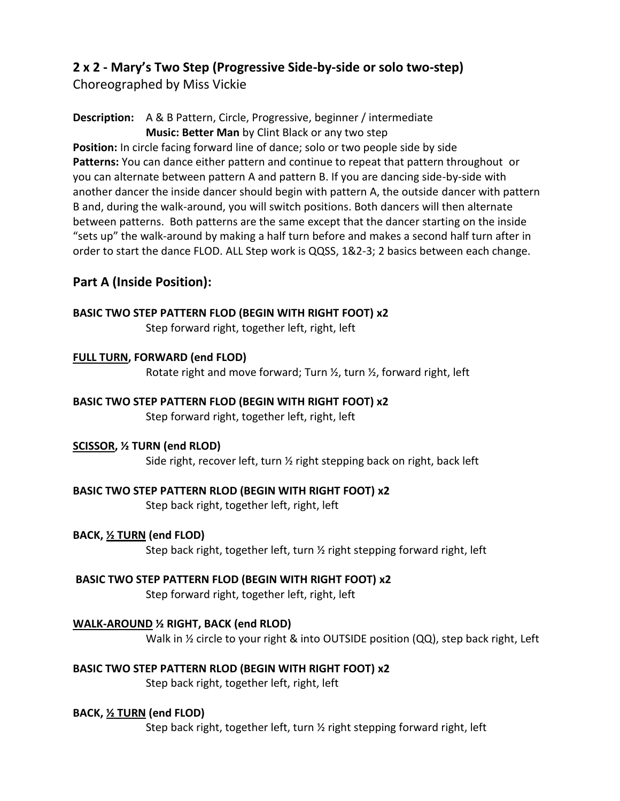## **2 x 2 - Mary's Two Step (Progressive Side-by-side or solo two-step)**

Choreographed by Miss Vickie

**Description:** A & B Pattern, Circle, Progressive, beginner / intermediate **Music: Better Man** by Clint Black or any two step

**Position:** In circle facing forward line of dance; solo or two people side by side **Patterns:** You can dance either pattern and continue to repeat that pattern throughout or you can alternate between pattern A and pattern B. If you are dancing side-by-side with another dancer the inside dancer should begin with pattern A, the outside dancer with pattern B and, during the walk-around, you will switch positions. Both dancers will then alternate between patterns. Both patterns are the same except that the dancer starting on the inside "sets up" the walk-around by making a half turn before and makes a second half turn after in order to start the dance FLOD. ALL Step work is QQSS, 1&2-3; 2 basics between each change.

## **Part A (Inside Position):**

### **BASIC TWO STEP PATTERN FLOD (BEGIN WITH RIGHT FOOT) x2**

Step forward right, together left, right, left

#### **FULL TURN, FORWARD (end FLOD)**

Rotate right and move forward; Turn ½, turn ½, forward right, left

### **BASIC TWO STEP PATTERN FLOD (BEGIN WITH RIGHT FOOT) x2**

Step forward right, together left, right, left

### **SCISSOR, ½ TURN (end RLOD)**

Side right, recover left, turn ½ right stepping back on right, back left

### **BASIC TWO STEP PATTERN RLOD (BEGIN WITH RIGHT FOOT) x2**

Step back right, together left, right, left

### **BACK, ½ TURN (end FLOD)**

Step back right, together left, turn ½ right stepping forward right, left

### **BASIC TWO STEP PATTERN FLOD (BEGIN WITH RIGHT FOOT) x2**

Step forward right, together left, right, left

### **WALK-AROUND ½ RIGHT, BACK (end RLOD)**

Walk in  $\frac{1}{2}$  circle to your right & into OUTSIDE position (QQ), step back right, Left

## **BASIC TWO STEP PATTERN RLOD (BEGIN WITH RIGHT FOOT) x2**

Step back right, together left, right, left

### **BACK, ½ TURN (end FLOD)**

Step back right, together left, turn ½ right stepping forward right, left